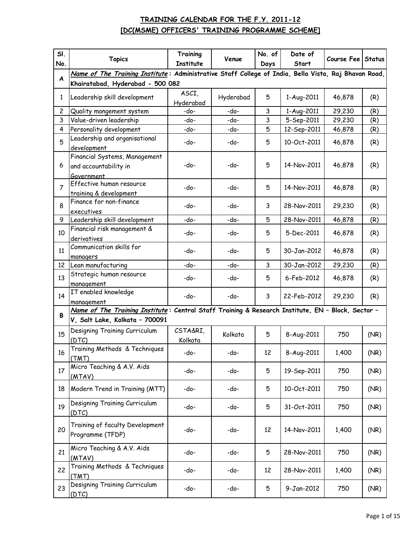| SI.<br>No.       | <b>Topics</b>                                                                                                                       | Training<br><b>Institute</b> | Venue     | No. of<br>Days | Date of<br>Start | Course Fee Status |      |
|------------------|-------------------------------------------------------------------------------------------------------------------------------------|------------------------------|-----------|----------------|------------------|-------------------|------|
|                  | Name of The Training Institute: Administrative Staff College of India, Bella Vista, Raj Bhavan Road,                                |                              |           |                |                  |                   |      |
| $\boldsymbol{A}$ | Khairatabad, Hyderabad - 500 082                                                                                                    |                              |           |                |                  |                   |      |
| $\mathbf{1}$     | Leadership skill development                                                                                                        | ASCI,<br>Hyderabad           | Hyderabad | 5              | 1-Aug-2011       | 46,878            | (R)  |
| $\overline{c}$   | Quality mangement system                                                                                                            | -do-                         | -do-      | 3              | 1-Aug-2011       | 29,230            | (R)  |
| 3                | Value-driven leadership                                                                                                             | -do-                         | -do-      | 3              | 5-Sep-2011       | 29,230            | (R)  |
| 4                | Personality development                                                                                                             | -do-                         | -do-      | 5              | 12-Sep-2011      | 46,878            | (R)  |
| 5                | Leadership and organisational<br>development                                                                                        | -do-                         | -do-      | 5              | 10-Oct-2011      | 46,878            | (R)  |
| 6                | Financial Systems, Management<br>and accountability in<br>Government                                                                | -do-                         | -do-      | 5              | 14-Nov-2011      | 46,878            | (R)  |
| $\overline{7}$   | Effective human resource<br>training & development                                                                                  | -do-                         | -do-      | 5              | 14-Nov-2011      | 46,878            | (R)  |
| 8                | Finance for non-finance<br>executives                                                                                               | -do-                         | -do-      | 3              | 28-Nov-2011      | 29,230            | (R)  |
| 9                | Leadership skill development                                                                                                        | -do-                         | -do-      | 5              | 28-Nov-2011      | 46,878            | (R)  |
| 10               | Financial risk management &<br>derivatives                                                                                          | -do-                         | -do-      | 5              | 5-Dec-2011       | 46,878            | (R)  |
| 11               | Communication skills for<br>managers                                                                                                | -do-                         | -do-      | 5              | 30-Jan-2012      | 46,878            | (R)  |
| 12               | Lean manufacturing                                                                                                                  | -do-                         | -do-      | 3              | 30-Jan-2012      | 29,230            | (R)  |
| 13               | Strategic human resource<br>management                                                                                              | -do-                         | -do-      | 5              | 6-Feb-2012       | 46,878            | (R)  |
| 14               | IT enabled knowledge<br>management                                                                                                  | -do-                         | -do-      | 3              | 22-Feb-2012      | 29,230            | (R)  |
| B                | Name of The Training Institute: Central Staff Training & Research Institute, EN - Block, Sector -<br>V, Salt Lake, Kolkata - 700091 |                              |           |                |                  |                   |      |
| 15               | Designing Training Curriculum<br>(DTC)                                                                                              | CSTA&RI,<br>Kolkata          | Kolkata   | 5              | 8-Aug-2011       | 750               | (NR) |
| 16               | Training Methods & Techniques<br>(TMT)                                                                                              | -do-                         | -do-      | 12             | 8-Aug-2011       | 1,400             | (NR) |
| 17               | Micro Teaching & A.V. Aids<br>(MTAV)                                                                                                | -do-                         | -do-      | 5              | 19-Sep-2011      | 750               | (NR) |
| 18               | Modern Trend in Training (MTT)                                                                                                      | -do-                         | -do-      | 5              | 10-Oct-2011      | 750               | (NR) |
| 19               | Designing Training Curriculum<br>(DTC)                                                                                              | -do-                         | -do-      | 5              | 31-Oct-2011      | 750               | (NR) |
| 20               | Training of faculty Development<br>Programme (TFDP)                                                                                 | -do-                         | -do-      | 12             | 14-Nov-2011      | 1,400             | (NR) |
| 21               | Micro Teaching & A.V. Aids<br>(MTAV)                                                                                                | -do-                         | -do-      | 5              | 28-Nov-2011      | 750               | (NR) |
| 22               | Training Methods & Techniques<br>(TMT)                                                                                              | -do-                         | -do-      | 12             | 28-Nov-2011      | 1,400             | (NR) |
| 23               | Designing Training Curriculum<br>(DTC)                                                                                              | -do-                         | -do-      | 5              | 9-Jan-2012       | 750               | (NR) |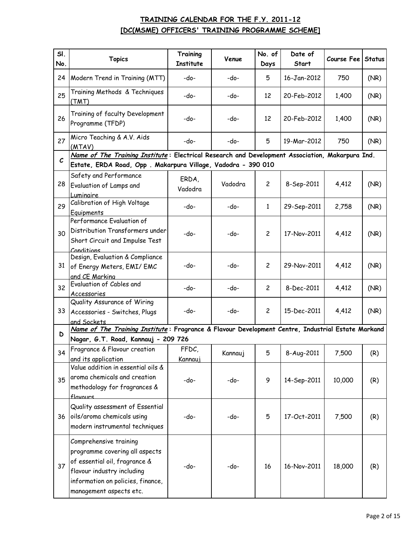| SI.<br>No.    | <b>Topics</b>                                                                                                                                                                           | Training<br><b>Institute</b> | Venue   | No. of<br>Days | Date of<br>Start | Course Fee | <b>Status</b> |
|---------------|-----------------------------------------------------------------------------------------------------------------------------------------------------------------------------------------|------------------------------|---------|----------------|------------------|------------|---------------|
| 24            | Modern Trend in Training (MTT)                                                                                                                                                          | -do-                         | -do-    | 5              | 16-Jan-2012      | 750        | (NR)          |
| 25            | Training Methods & Techniques<br>(TMT)                                                                                                                                                  | -do-                         | -do-    | 12             | 20-Feb-2012      | 1,400      | (NR)          |
| 26            | Training of faculty Development<br>Programme (TFDP)                                                                                                                                     | -do-                         | -do-    | 12             | 20-Feb-2012      | 1,400      | (NR)          |
| 27            | Micro Teaching & A.V. Aids<br>(MTAV)                                                                                                                                                    | -do-                         | -do-    | 5              | 19-Mar-2012      | 750        | (NR)          |
|               | Name of The Training Institute: Electrical Research and Development Association, Makarpura Ind.                                                                                         |                              |         |                |                  |            |               |
| $\mathcal{C}$ | Estate, ERDA Road, Opp. Makarpura Village, Vadodra - 390 010                                                                                                                            |                              |         |                |                  |            |               |
| 28            | Safety and Performance<br>Evaluation of Lamps and<br>Luminaire                                                                                                                          | ERDA,<br>Vadodra             | Vadodra | $\overline{2}$ | 8-Sep-2011       | 4,412      | (NR)          |
| 29            | Calibration of High Voltage<br>Equipments                                                                                                                                               | -do-                         | -do-    | $\mathbf{1}$   | 29-Sep-2011      | 2,758      | (NR)          |
| 30            | Performance Evaluation of<br>Distribution Transformers under<br>Short Circuit and Impulse Test<br>Conditions                                                                            | -do-                         | -do-    | $\overline{2}$ | 17-Nov-2011      | 4,412      | (NR)          |
| 31            | Design, Evaluation & Compliance<br>of Energy Meters, EMI/ EMC<br>and CE Markina                                                                                                         | -do-                         | -do-    | $\overline{2}$ | 29-Nov-2011      | 4,412      | (NR)          |
| 32            | Evaluation of Cables and<br>Accessories                                                                                                                                                 | -do-                         | -do-    | $\overline{c}$ | 8-Dec-2011       | 4,412      | (NR)          |
| 33            | Quality Assurance of Wiring<br>Accessories - Switches, Plugs<br>and Sockets                                                                                                             | -do-                         | -do-    | $\overline{c}$ | 15-Dec-2011      | 4,412      | (NR)          |
|               | Name of The Training Institute: Fragrance & Flavour Development Centre, Industrial Estate Markand                                                                                       |                              |         |                |                  |            |               |
| D             | Nagar, G.T. Road, Kannauj - 209 726                                                                                                                                                     |                              |         |                |                  |            |               |
| 34            | Fragrance & Flavour creation<br>and its application                                                                                                                                     | FFDC,<br>Kannauj             | Kannauj | 5              | 8-Aug-2011       | 7,500      | (R)           |
| 35            | Value addition in essential oils &<br>aroma chemicals and creation<br>methodology for fragrances &<br>flavours                                                                          | -do-                         | -do-    | 9              | 14-Sep-2011      | 10,000     | (R)           |
| 36            | Quality assessment of Essential<br>oils/aroma chemicals using<br>modern instrumental techniques                                                                                         | -do-                         | -do-    | 5              | 17-Oct-2011      | 7,500      | (R)           |
| 37            | Comprehensive training<br>programme covering all aspects<br>of essential oil, fragrance &<br>flavour industry including<br>information on policies, finance,<br>management aspects etc. | -do-                         | -do-    | 16             | 16-Nov-2011      | 18,000     | (R)           |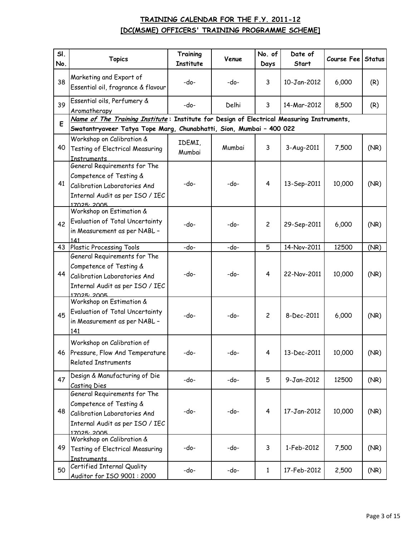| SI.<br>No. | <b>Topics</b>                                                                                                                                                    | Training<br><b>Institute</b> | Venue  | No. of<br>Days | Date of<br><b>Start</b> | Course Fee | <b>Status</b> |
|------------|------------------------------------------------------------------------------------------------------------------------------------------------------------------|------------------------------|--------|----------------|-------------------------|------------|---------------|
| 38         | Marketing and Export of<br>Essential oil, fragrance & flavour                                                                                                    | -do-                         | -do-   | 3              | 10-Jan-2012             | 6,000      | (R)           |
| 39         | Essential oils, Perfumery &<br>Aromatherapy                                                                                                                      | -do-                         | Delhi  | 3              | 14-Mar-2012             | 8,500      | (R)           |
| E          | Name of The Training Institute: Institute for Design of Electrical Measuring Instruments,<br>Swatantryaveer Tatya Tope Marg, Chunabhatti, Sion, Mumbai - 400 022 |                              |        |                |                         |            |               |
| 40         | Workshop on Calibration &<br><b>Testing of Electrical Measuring</b><br>Instruments                                                                               | IDEMI,<br>Mumbai             | Mumbai | 3              | 3-Aug-2011              | 7,500      | (NR)          |
| 41         | General Requirements for The<br>Competence of Testing &<br>Calibration Laboratories And<br>Internal Audit as per ISO / IEC<br>17025:2005                         | -do-                         | $-do-$ | 4              | 13-Sep-2011             | 10,000     | (NR)          |
| 42         | Workshop on Estimation &<br>Evaluation of Total Uncertainty<br>in Measurement as per NABL -<br>141                                                               | $-do-$                       | -do-   | $\mathbf{2}$   | 29-Sep-2011             | 6,000      | (NR)          |
| 43         | <b>Plastic Processing Tools</b>                                                                                                                                  | -do-                         | -do-   | 5              | 14-Nov-2011             | 12500      | (NR)          |
| 44         | General Requirements for The<br>Competence of Testing &<br>Calibration Laboratories And<br>Internal Audit as per ISO / IEC<br>17025: 2005                        | -do-                         | -do-   | 4              | 22-Nov-2011             | 10,000     | (NR)          |
| 45         | Workshop on Estimation &<br><b>Evaluation of Total Uncertainty</b><br>in Measurement as per NABL -<br>141                                                        | -do-                         | -do-   | $\overline{c}$ | 8-Dec-2011              | 6,000      | (NR)          |
| 46         | Workshop on Calibration of<br>Pressure, Flow And Temperature<br><b>Related Instruments</b>                                                                       | -do-                         | -do-   | 4              | 13-Dec-2011             | 10,000     | (NR)          |
| 47         | Design & Manufacturing of Die<br>Casting Dies                                                                                                                    | -do-                         | -do-   | 5              | 9-Jan-2012              | 12500      | (NR)          |
| 48         | General Requirements for The<br>Competence of Testing &<br>Calibration Laboratories And<br>Internal Audit as per ISO / IEC<br>17025: 2005                        | -do-                         | -do-   | 4              | 17-Jan-2012             | 10,000     | (NR)          |
| 49         | Workshop on Calibration &<br><b>Testing of Electrical Measuring</b><br><b>Instruments</b>                                                                        | -do-                         | -do-   | 3              | 1-Feb-2012              | 7,500      | (NR)          |
| 50         | Certified Internal Quality<br>Auditor for ISO 9001: 2000                                                                                                         | -do-                         | -do-   | $\mathbf{1}$   | 17-Feb-2012             | 2,500      | (NR)          |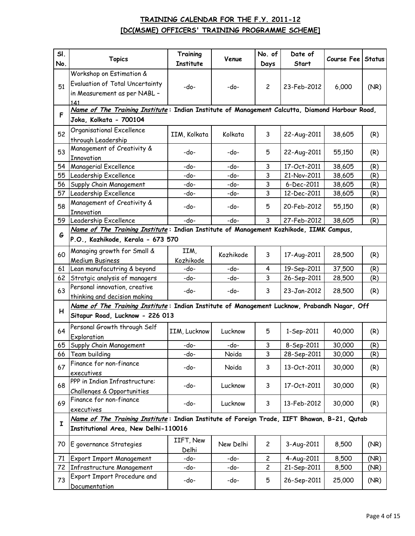| SI.<br>No. | <b>Topics</b>                                                                                  | Training<br><b>Institute</b> | Venue     | No. of<br>Days | Date of<br>Start | Course Fee | <b>Status</b> |
|------------|------------------------------------------------------------------------------------------------|------------------------------|-----------|----------------|------------------|------------|---------------|
|            | Workshop on Estimation &                                                                       |                              |           |                |                  |            |               |
| 51         | Evaluation of Total Uncertainty                                                                | $-do-$                       | -do-      | $\mathbf{2}$   | 23-Feb-2012      | 6,000      | (NR)          |
|            | in Measurement as per NABL -<br>141                                                            |                              |           |                |                  |            |               |
|            | Name of The Training Institute: Indian Institute of Management Calcutta, Diamond Harbour Road, |                              |           |                |                  |            |               |
| F.         | Joka, Kolkata - 700104                                                                         |                              |           |                |                  |            |               |
| 52         | Organisational Excellence<br>through Leadership                                                | IIM, Kolkata                 | Kolkata   | 3              | 22-Aug-2011      | 38,605     | (R)           |
| 53         | Management of Creativity &<br>Innovation                                                       | -do-                         | -do-      | 5              | 22-Aug-2011      | 55,150     | (R)           |
| 54         | Managerial Excellence                                                                          | -do-                         | -do-      | 3              | 17-Oct-2011      | 38,605     | (R)           |
| 55         | Leadership Excellence                                                                          | -do-                         | -do-      | 3              | 21-Nov-2011      | 38,605     | (R)           |
| 56         | Supply Chain Management                                                                        | -do-                         | -do-      | 3              | 6-Dec-2011       | 38,605     | (R)           |
| 57         | Leadership Excellence                                                                          | -do-                         | -do-      | 3              | 12-Dec-2011      | 38,605     | (R)           |
| 58         | Management of Creativity &<br><b>Innovation</b>                                                | -do-                         | -do-      | 5              | 20-Feb-2012      | 55,150     | (R)           |
| 59         | Leadership Excellence                                                                          | -do-                         | -do-      | 3              | 27-Feb-2012      | 38,605     | (R)           |
|            | Name of The Training Institute: Indian Institute of Management Kozhikode, IIMK Campus,         |                              |           |                |                  |            |               |
| G          | P.O., Kozhikode, Kerala - 673 570                                                              |                              |           |                |                  |            |               |
| 60         | Managing growth for Small &<br><b>Medium Business</b>                                          | IIM,<br>Kozhikode            | Kozhikode | 3              | 17-Aug-2011      | 28,500     | (R)           |
| 61         | Lean manufacutring & beyond                                                                    | -do-                         | -do-      | 4              | 19-Sep-2011      | 37,500     | (R)           |
| 62         | Stratgic analysis of managers                                                                  | -do-                         | -do-      | 3              | 26-Sep-2011      | 28,500     | (R)           |
| 63         | Personal innovation, creative<br>thinking and decision making                                  | -do-                         | -do-      | 3              | 23-Jan-2012      | 28,500     | (R)           |
|            | Name of The Training Institute: Indian Institute of Management Lucknow, Prabandh Nagar, Off    |                              |           |                |                  |            |               |
| H          | Sitapur Road, Lucknow - 226 013                                                                |                              |           |                |                  |            |               |
| 64         | Personal Growth through Self<br>Exploration                                                    | IIM, Lucknow                 | Lucknow   | 5              | 1-Sep-2011       | 40,000     | (R)           |
| 65         | Supply Chain Management                                                                        | -do-                         | -do-      | 3              | 8-Sep-2011       | 30,000     | (R)           |
| 66         | Team building                                                                                  | -do-                         | Noida     | 3              | 28-Sep-2011      | 30,000     | (R)           |
| 67         | Finance for non-finance<br>executives                                                          | -do-                         | Noida     | 3              | 13-Oct-2011      | 30,000     | (R)           |
| 68         | PPP in Indian Infrastructure:                                                                  | -do-                         | Lucknow   | 3              | 17-Oct-2011      | 30,000     | (R)           |
|            | Challenges & Opportunities<br>Finance for non-finance                                          |                              |           |                |                  |            |               |
| 69         | executives                                                                                     | -do-                         | Lucknow   | 3              | 13-Feb-2012      | 30,000     | (R)           |
|            | Name of The Training Institute: Indian Institute of Foreign Trade, IIFT Bhawan, B-21, Qutab    |                              |           |                |                  |            |               |
| I          | Institutional Area, New Delhi-110016                                                           |                              |           |                |                  |            |               |
| 70         | E governance Strategies                                                                        | IIFT, New<br>Delhi           | New Delhi | $\overline{c}$ | 3-Aug-2011       | 8,500      | (NR)          |
| 71         | <b>Export Import Management</b>                                                                | -do-                         | -do-      | $\overline{c}$ | 4-Aug-2011       | 8,500      | (NR)          |
| 72         | Infrastructure Management                                                                      | -do-                         | -do-      | $\overline{c}$ | 21-Sep-2011      | 8,500      | (NR)          |
| 73         | Export Import Procedure and<br>Documentation                                                   | -do-                         | -do-      | 5              | 26-Sep-2011      | 25,000     | (NR)          |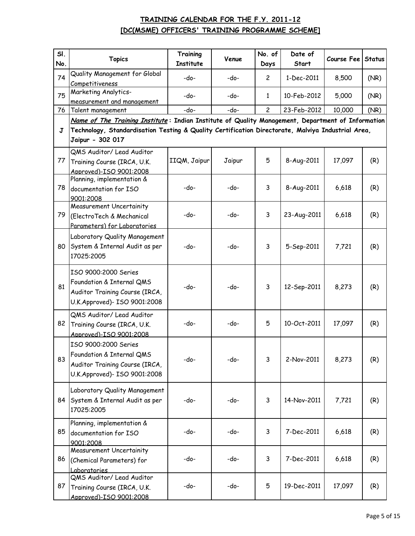| SI.<br>No. | <b>Topics</b>                                                                                                         | Training<br><b>Institute</b> | Venue  | No. of<br>Days | Date of<br>Start | Course Fee Status |      |
|------------|-----------------------------------------------------------------------------------------------------------------------|------------------------------|--------|----------------|------------------|-------------------|------|
|            | Quality Management for Global                                                                                         |                              |        |                |                  |                   |      |
| 74         | Competitiveness                                                                                                       | $-do-$                       | -do-   | $\overline{c}$ | 1-Dec-2011       | 8,500             | (NR) |
| 75         | Marketing Analytics-<br>measurement and management                                                                    | -do-                         | -do-   | $\mathbf{1}$   | 10-Feb-2012      | 5,000             | (NR) |
| 76         | Talent management                                                                                                     | -do-                         | -do-   | $\overline{c}$ | 23-Feb-2012      | 10,000            | (NR) |
|            | Name of The Training Institute: Indian Institute of Quality Management, Department of Information                     |                              |        |                |                  |                   |      |
| J          | Technology, Standardisation Testing & Quality Certification Directorate, Malviya Industrial Area,<br>Jaipur - 302 017 |                              |        |                |                  |                   |      |
| 77         | QMS Auditor/ Lead Auditor<br>Training Course (IRCA, U.K.<br>Approved)-ISO 9001:2008                                   | IIQM, Jaipur                 | Jaipur | 5              | 8-Aug-2011       | 17,097            | (R)  |
| 78         | Planning, implementation &<br>documentation for ISO<br>9001:2008                                                      | $-do-$                       | -do-   | 3              | 8-Aug-2011       | 6,618             | (R)  |
| 79         | <b>Measurement Uncertainity</b><br>(ElectroTech & Mechanical<br>Parameters) for Laboratories                          | -do-                         | -do-   | 3              | 23-Aug-2011      | 6,618             | (R)  |
| 80         | Laboratory Quality Management<br>System & Internal Audit as per<br>17025:2005                                         | -do-                         | -do-   | 3              | 5-Sep-2011       | 7,721             | (R)  |
| 81         | ISO 9000:2000 Series<br>Foundation & Internal QMS<br>Auditor Training Course (IRCA,<br>U.K.Approved)- ISO 9001:2008   | -do-                         | -do-   | 3              | 12-Sep-2011      | 8,273             | (R)  |
| 82         | QMS Auditor/ Lead Auditor<br>Training Course (IRCA, U.K.<br>Approved)-ISO 9001:2008                                   | -do-                         | -do-   | 5              | 10-Oct-2011      | 17,097            | (R)  |
| 83         | ISO 9000:2000 Series<br>Foundation & Internal QMS<br>Auditor Training Course (IRCA,<br>U.K.Approved)- ISO 9001:2008   | -do-                         | -do-   | 3              | 2-Nov-2011       | 8,273             | (R)  |
| 84         | Laboratory Quality Management<br>System & Internal Audit as per<br>17025:2005                                         | -do-                         | -do-   | 3              | 14-Nov-2011      | 7,721             | (R)  |
| 85         | Planning, implementation &<br>documentation for ISO<br>9001:2008                                                      | -do-                         | -do-   | 3              | 7-Dec-2011       | 6,618             | (R)  |
| 86         | <b>Measurement Uncertainity</b><br>(Chemical Parameters) for<br>Laboratories                                          | -do-                         | -do-   | 3              | 7-Dec-2011       | 6,618             | (R)  |
| 87         | QMS Auditor/ Lead Auditor<br>Training Course (IRCA, U.K.<br>Approved)-ISO 9001:2008                                   | -do-                         | -do-   | 5              | 19-Dec-2011      | 17,097            | (R)  |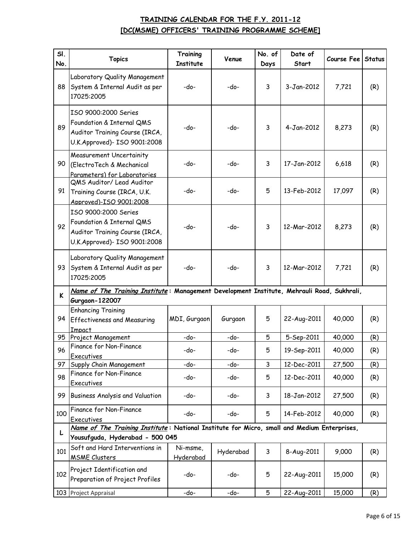| SI.<br>No. | <b>Topics</b>                                                                                                                  | Training<br><b>Institute</b> | Venue     | No. of<br>Days | Date of<br>Start | Course Fee | <b>Status</b> |
|------------|--------------------------------------------------------------------------------------------------------------------------------|------------------------------|-----------|----------------|------------------|------------|---------------|
| 88         | Laboratory Quality Management<br>System & Internal Audit as per<br>17025:2005                                                  | -do-                         | -do-      | 3              | 3-Jan-2012       | 7,721      | (R)           |
| 89         | ISO 9000:2000 Series<br>Foundation & Internal QMS<br>Auditor Training Course (IRCA,<br>U.K.Approved)- ISO 9001:2008            | -do-                         | -do-      | 3              | 4-Jan-2012       | 8,273      | (R)           |
| 90         | <b>Measurement Uncertainity</b><br>(ElectroTech & Mechanical<br>Parameters) for Laboratories                                   | -do-                         | -do-      | 3              | 17-Jan-2012      | 6,618      | (R)           |
| 91         | QMS Auditor/ Lead Auditor<br>Training Course (IRCA, U.K.<br>Approved)-ISO 9001:2008                                            | -do-                         | -do-      | 5              | 13-Feb-2012      | 17,097     | (R)           |
| 92         | ISO 9000:2000 Series<br>Foundation & Internal QMS<br>Auditor Training Course (IRCA,<br>U.K.Approved)- ISO 9001:2008            | -do-                         | -do-      | 3              | 12-Mar-2012      | 8,273      | (R)           |
| 93         | Laboratory Quality Management<br>System & Internal Audit as per<br>17025:2005                                                  | -do-                         | -do-      | 3              | 12-Mar-2012      | 7,721      | (R)           |
| K          | Name of The Training Institute: Management Development Institute, Mehrauli Road, Sukhrali,<br>Gurgaon-122007                   |                              |           |                |                  |            |               |
| 94         | <b>Enhancing Training</b><br><b>Effectiveness and Measuring</b><br>Impact                                                      | MDI, Gurgaon                 | Gurgaon   | 5              | 22-Aug-2011      | 40,000     | (R)           |
| 95         | Project Management                                                                                                             | -do-                         | -do-      | 5              | 5-Sep-2011       | 40,000     | (R)           |
| 96         | Finance for Non-Finance<br>Executives                                                                                          | -do-                         | -do-      | 5              | 19-Sep-2011      | 40,000     | (R)           |
| 97         | Supply Chain Management                                                                                                        | -do-                         | -do-      | 3              | 12-Dec-2011      | 27,500     | (R)           |
| 98         | Finance for Non-Finance<br><b>Executives</b>                                                                                   | -do-                         | -do-      | 5              | 12-Dec-2011      | 40,000     | (R)           |
| 99         | Business Analysis and Valuation                                                                                                | -do-                         | -do-      | 3              | 18-Jan-2012      | 27,500     | (R)           |
| 100        | Finance for Non-Finance<br>Executives                                                                                          | -do-                         | -do-      | 5              | 14-Feb-2012      | 40,000     | (R)           |
| L          | Name of The Training Institute: National Institute for Micro, small and Medium Enterprises,<br>Yousufguda, Hyderabad - 500 045 |                              |           |                |                  |            |               |
| 101        | Soft and Hard Interventions in<br><b>MSME Clusters</b>                                                                         | Ni-msme,<br><u>Hyderabad</u> | Hyderabad | 3              | 8-Aug-2011       | 9,000      | (R)           |
| 102        | Project Identification and<br>Preparation of Project Profiles                                                                  | -do-                         | -do-      | 5              | 22-Aug-2011      | 15,000     | (R)           |
|            | 103 Project Appraisal                                                                                                          | -do-                         | -do-      | 5              | 22-Aug-2011      | 15,000     | (R)           |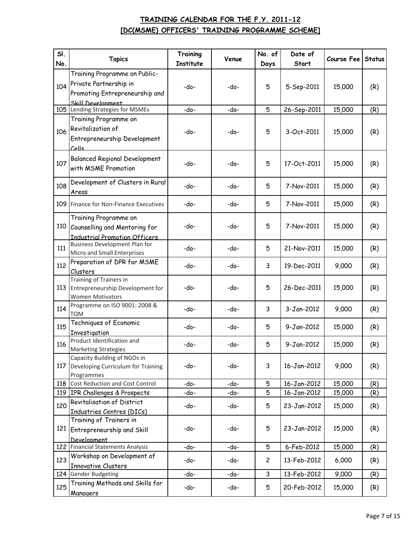| SI.<br>No. | <b>Topics</b>                                                                                                  | Training<br><b>Institute</b> | Venue | No. of<br>Days | Date of<br>Start | Course Fee | <b>Status</b> |
|------------|----------------------------------------------------------------------------------------------------------------|------------------------------|-------|----------------|------------------|------------|---------------|
| 104        | Training Programme on Public-<br>Private Partnership in<br>Promoting Entrepreneurship and<br>Skill Develonment | -do-                         | -do-  | 5              | 5-Sep-2011       | 15,000     | (R)           |
| 105        | Lending Strategies for MSMEs                                                                                   | -do-                         | -do-  | 5              | 26-Sep-2011      | 15,000     | (R)           |
| 106        | Training Programme on<br>Revitalization of<br>Entrepreneurship Development<br>حاله                             | -do-                         | -do-  | 5              | 3-Oct-2011       | 15,000     | (R)           |
| 107        | <b>Balanced Regional Development</b><br>with MSME Promotion                                                    | -do-                         | -do-  | 5              | 17-Oct-2011      | 15,000     | (R)           |
| 108        | Development of Clusters in Rural<br>Areas                                                                      | -do-                         | -do-  | 5              | 7-Nov-2011       | 15,000     | (R)           |
| 109        | Finance for Non-Finance Executives                                                                             | -do-                         | -do-  | 5              | 7-Nov-2011       | 15,000     | (R)           |
| 110        | Training Programme on<br>Counselling and Mentoring for<br><b>Industrial Promotion Officers</b>                 | -do-                         | -do-  | 5              | 7-Nov-2011       | 15,000     | (R)           |
| 111        | <b>Business Development Plan for</b><br>Micro and Small Enterprises                                            | -do-                         | -do-  | 5              | 21-Nov-2011      | 15,000     | (R)           |
| 112        | Preparation of DPR for MSME<br>Clusters                                                                        | -do-                         | -do-  | 3              | 19-Dec-2011      | 9,000      | (R)           |
| 113        | Training of Trainers in<br>Entrepreneurship Development for<br><b>Women Motivators</b>                         | -do-                         | -do-  | 5              | 26-Dec-2011      | 15,000     | (R)           |
| 114        | Programme on ISO 9001: 2008 &<br><b>TQM</b>                                                                    | -do-                         | -do-  | 3              | 3-Jan-2012       | 9,000      | (R)           |
| 115        | Techniques of Economic<br>Investigation                                                                        | -do-                         | -do-  | 5              | 9-Jan-2012       | 15,000     | (R)           |
| 116        | Product Identification and<br><b>Marketing Strategies</b>                                                      | -do-                         | -do-  | 5              | 9-Jan-2012       | 15,000     | (R)           |
| 117        | Capacity Building of NGOs in<br>Developing Curriculum for Training<br>Programmes                               | -do-                         | -do-  | 3              | 16-Jan-2012      | 9,000      | (R)           |
| 118        | Cost Reduction and Cost Control                                                                                | -do-                         | -do-  | 5              | 16-Jan-2012      | 15,000     | (R)           |
|            | 119 IPR Challenges & Prospects                                                                                 | -do-                         | -do-  | 5              | 16-Jan-2012      | 15,000     | (R)           |
| 120        | Revitalisation of District<br>Industries Centres (DICs)                                                        | -do-                         | -do-  | 5              | 23-Jan-2012      | 15,000     | (R)           |
| 121        | Training of Trainers in<br>Entrepreneurship and Skill<br>Development                                           | -do-                         | -do-  | 5              | 23-Jan-2012      | 15,000     | (R)           |
|            | 122 Financial Statements Analysis                                                                              | -do-                         | -do-  | 5              | 6-Feb-2012       | 15,000     | (R)           |
| 123        | Workshop on Development of<br><b>Innovative Clusters</b>                                                       | -do-                         | -do-  | $\overline{c}$ | 13-Feb-2012      | 6,000      | (R)           |
| 124        | <b>Gender Budgeting</b>                                                                                        | -do-                         | -do-  | 3              | 13-Feb-2012      | 9,000      | (R)           |
| 125        | Training Methods and Skills for<br><b>Managers</b>                                                             | -do-                         | -do-  | 5              | 20-Feb-2012      | 15,000     | (R)           |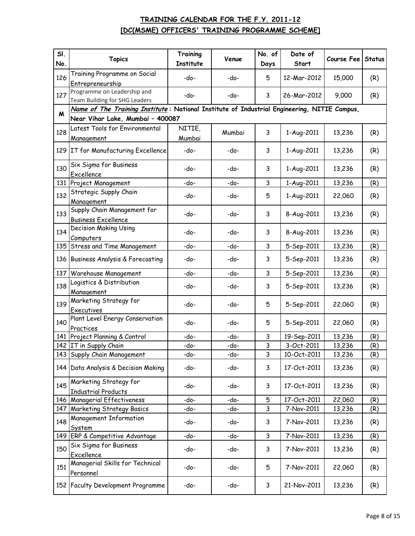| SI.<br>No. | <b>Topics</b>                                                                                                                   | Training<br><b>Institute</b> | Venue  | No. of<br>Days | Date of<br>Start | Course Fee | <b>Status</b> |
|------------|---------------------------------------------------------------------------------------------------------------------------------|------------------------------|--------|----------------|------------------|------------|---------------|
| 126        | Training Programme on Social<br>Entrepreneurship                                                                                | -do-                         | -do-   | 5              | 12-Mar-2012      | 15,000     | (R)           |
| 127        | Programme on Leadership and<br>Team Building for SHG Leaders                                                                    | -do-                         | -do-   | 3              | 26-Mar-2012      | 9,000      | (R)           |
| M          | Name of The Training Institute: National Institute of Industrial Engineering, NITIE Campus,<br>Near Vihar Lake, Mumbai - 400087 |                              |        |                |                  |            |               |
| 128        | Latest Tools for Environmental<br>Management                                                                                    | NITIE,<br>Mumbai             | Mumbai | 3              | 1-Aug-2011       | 13,236     | (R)           |
|            | 129 IT for Manufacturing Excellence                                                                                             | -do-                         | -do-   | 3              | 1-Aug-2011       | 13,236     | (R)           |
| 130        | Six Sigma for Business<br>Excellence                                                                                            | -do-                         | -do-   | 3              | 1-Aug-2011       | 13,236     | (R)           |
| 131        | Project Management                                                                                                              | -do-                         | -do-   | 3              | 1-Aug-2011       | 13,236     | (R)           |
| 132        | Strategic Supply Chain<br>Management                                                                                            | -do-                         | -do-   | 5              | 1-Aug-2011       | 22,060     | (R)           |
| 133        | Supply Chain Management for<br><b>Business Excellence</b>                                                                       | -do-                         | -do-   | 3              | 8-Aug-2011       | 13,236     | (R)           |
| 134        | <b>Decision Making Using</b><br>Computers                                                                                       | -do-                         | -do-   | 3              | 8-Aug-2011       | 13,236     | (R)           |
| 135        | <b>Stress and Time Management</b>                                                                                               | -do-                         | -do-   | 3              | 5-Sep-2011       | 13,236     | (R)           |
| 136        | Business Analysis & Forecasting                                                                                                 | -do-                         | -do-   | 3              | 5-Sep-2011       | 13,236     | (R)           |
| 137        | Warehouse Management                                                                                                            | -do-                         | -do-   | 3              | 5-Sep-2011       | 13,236     | (R)           |
| 138        | Logistics & Distribution<br>Management                                                                                          | -do-                         | -do-   | 3              | 5-Sep-2011       | 13,236     | (R)           |
| 139        | Marketing Strategy for<br>Executives                                                                                            | -do-                         | -do-   | 5              | 5-Sep-2011       | 22,060     | (R)           |
| 140        | Plant Level Energy Conservation<br>Practices                                                                                    | -do-                         | -do-   | 5              | 5-Sep-2011       | 22,060     | (R)           |
| 141        | Project Planning & Control                                                                                                      | -do-                         | -do-   | 3              | 19-Sep-2011      | 13,236     | (R)           |
|            | 142 IT in Supply Chain                                                                                                          | -do-                         | -do-   | 3              | 3-Oct-2011       | 13,236     | (R)           |
|            | 143 Supply Chain Management                                                                                                     | -do-                         | -do-   | 3              | 10-Oct-2011      | 13,236     | (R)           |
|            | 144 Data Analysis & Decision Making                                                                                             | -do-                         | -do-   | 3              | 17-Oct-2011      | 13,236     | (R)           |
| 145        | Marketing Strategy for<br><b>Industrial Products</b>                                                                            | -do-                         | -do-   | 3              | 17-Oct-2011      | 13,236     | (R)           |
| 146        | Managerial Effectiveness                                                                                                        | -do-                         | -do-   | 5              | 17-Oct-2011      | 22,060     | (R)           |
| 147        | <b>Marketing Strategy Basics</b>                                                                                                | -do-                         | -do-   | 3              | 7-Nov-2011       | 13,236     | (R)           |
| 148        | Management Information<br>System                                                                                                | -do-                         | -do-   | 3              | 7-Nov-2011       | 13,236     | (R)           |
| 149        | ERP & Competitive Advantage                                                                                                     | -do-                         | -do-   | 3              | 7-Nov-2011       | 13,236     | (R)           |
| 150        | Six Sigma for Business<br>Excellence                                                                                            | -do-                         | -do-   | 3              | 7-Nov-2011       | 13,236     | (R)           |
| 151        | Managerial Skills for Technical<br>Personnel                                                                                    | -do-                         | -do-   | 5              | 7-Nov-2011       | 22,060     | (R)           |
|            | 152 Faculty Development Programme                                                                                               | -do-                         | -do-   | 3              | 21-Nov-2011      | 13,236     | (R)           |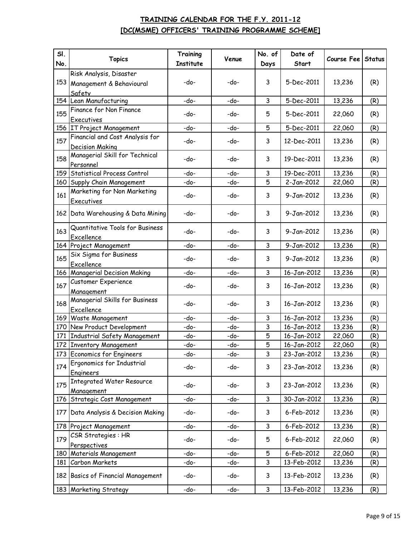| SI.<br>No. | <b>Topics</b>                                              | Training<br><b>Institute</b> | Venue | No. of<br>Days | Date of<br>Start | Course Fee       | <b>Status</b> |
|------------|------------------------------------------------------------|------------------------------|-------|----------------|------------------|------------------|---------------|
|            | Risk Analysis, Disaster                                    |                              |       |                |                  |                  |               |
| 153        | Management & Behavioural<br>Safety                         | -do-                         | -do-  | 3              | 5-Dec-2011       | 13,236           | (R)           |
|            | 154 Lean Manufacturing                                     | -do-                         | -do-  | 3              | 5-Dec-2011       | 13,236           | (R)           |
| 155        | Finance for Non Finance<br>Executives                      | -do-                         | -do-  | 5              | 5-Dec-2011       | 22,060           | (R)           |
|            | 156 IT Project Management                                  | -do-                         | -do-  | 5              | 5-Dec-2011       | 22,060           | (R)           |
|            | Financial and Cost Analysis for                            |                              |       |                |                  |                  |               |
| 157        | <b>Decision Making</b>                                     | -do-                         | -do-  | 3              | 12-Dec-2011      | 13,236           | (R)           |
| 158        | Managerial Skill for Technical<br>Personnel                | -do-                         | -do-  | 3              | 19-Dec-2011      | 13,236           | (R)           |
| 159        | Statistical Process Control                                | -do-                         | -do-  | 3              | 19-Dec-2011      | 13,236           | (R)           |
|            | 160 Supply Chain Management                                | -do-                         | -do-  | 5              | 2-Jan-2012       | 22,060           | (R)           |
| 161        | Marketing for Non Marketing<br>Executives                  | -do-                         | -do-  | 3              | 9-Jan-2012       | 13,236           | (R)           |
|            | 162 Data Warehousing & Data Mining                         | -do-                         | -do-  | 3              | 9-Jan-2012       | 13,236           | (R)           |
| 163        | Quantitative Tools for Business<br>Excellence              | -do-                         | -do-  | 3              | 9-Jan-2012       | 13,236           | (R)           |
|            | 164 Project Management                                     | -do-                         | -do-  | 3              | 9-Jan-2012       | 13,236           | (R)           |
| 165        | Six Sigma for Business<br>Excellence                       | -do-                         | -do-  | 3              | 9-Jan-2012       | 13,236           | (R)           |
|            | 166 Managerial Decision Making                             | -do-                         | -do-  | 3              | 16-Jan-2012      | 13,236           | (R)           |
| 167        | Customer Experience                                        | -do-                         | -do-  | 3              | 16-Jan-2012      | 13,236           | (R)           |
| 168        | Management<br>Managerial Skills for Business<br>Excellence | -do-                         | -do-  | 3              | 16-Jan-2012      | 13,236           | (R)           |
|            | 169 Waste Management                                       | -do-                         | -do-  | 3              | 16-Jan-2012      | 13,236           | (R)           |
| 170        | New Product Development                                    | -do-                         | -do-  | 3              | 16-Jan-2012      | 13,236           | (R)           |
| 171        | Industrial Safety Management                               | -do-                         | -do-  | 5              | 16-Jan-2012      | 22,060           | (R)           |
|            | 172 Inventory Management                                   | -do-                         | -do-  | 5              | 16-Jan-2012      | 22,060           | (R)           |
|            | 173 Economics for Engineers                                | -do-                         | -do-  | 3              | 23-Jan-2012      | 13,236           | (R)           |
| 174        | Ergonomics for Industrial<br>Engineers                     | -do-                         | -do-  | 3              | 23-Jan-2012      | 13,236           | (R)           |
| 175        | <b>Integrated Water Resource</b>                           | -do-                         | -do-  | 3              | 23-Jan-2012      | 13,236           | (R)           |
|            | Management<br>176 Strategic Cost Management                | -do-                         | -do-  | 3              | 30-Jan-2012      | 13,236           | (R)           |
| 177        | Data Analysis & Decision Making                            | -do-                         | -do-  | 3              | 6-Feb-2012       | 13,236           | (R)           |
|            | 178 Project Management                                     | -do-                         | -do-  | 3              | 6-Feb-2012       | 13,236           | (R)           |
| 179        | CSR Strategies : HR                                        | -do-                         | -do-  | 5              | 6-Feb-2012       | 22,060           | (R)           |
| 180        | Perspectives<br>Materials Management                       | -do-                         | -do-  | 5              | 6-Feb-2012       | 22,060           | (R)           |
| 181        | Carbon Markets                                             | -do-                         | -do-  | 3              | 13-Feb-2012      |                  |               |
| 182        | <b>Basics of Financial Management</b>                      | -do-                         | -do-  | 3              | 13-Feb-2012      | 13,236<br>13,236 | (R)<br>(R)    |
|            | 183 Marketing Strategy                                     | -do-                         | -do-  | 3              | 13-Feb-2012      | 13,236           | (R)           |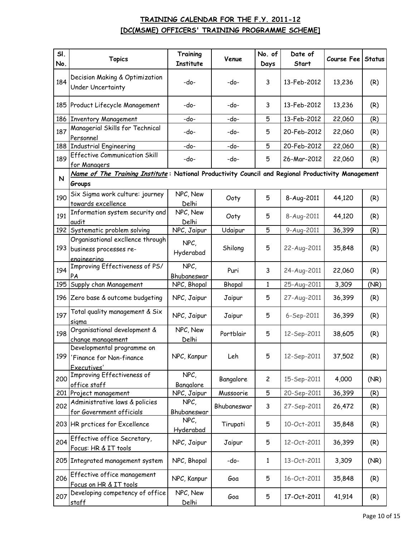| SI. | <b>Topics</b>                                                                                                | Training             | Venue       | No. of         | Date of     | Course Fee | <b>Status</b> |
|-----|--------------------------------------------------------------------------------------------------------------|----------------------|-------------|----------------|-------------|------------|---------------|
| No. |                                                                                                              | <b>Institute</b>     |             | Days           | Start       |            |               |
| 184 | Decision Making & Optimization<br><b>Under Uncertainty</b>                                                   | -do-                 | -do-        | 3              | 13-Feb-2012 | 13,236     | (R)           |
|     | 185 Product Lifecycle Management                                                                             | -do-                 | -do-        | 3              | 13-Feb-2012 | 13,236     | (R)           |
|     | 186 Inventory Management                                                                                     | -do-                 | -do-        | 5              | 13-Feb-2012 | 22,060     | (R)           |
| 187 | Managerial Skills for Technical<br>Personnel                                                                 | -do-                 | -do-        | 5              | 20-Feb-2012 | 22,060     | (R)           |
|     | 188 Industrial Engineering                                                                                   | -do-                 | -do-        | 5              | 20-Feb-2012 | 22,060     | (R)           |
| 189 | <b>Effective Communication Skill</b><br>for Managers                                                         | -do-                 | -do-        | 5              | 26-Mar-2012 | 22,060     | (R)           |
| N   | Name of The Training Institute: National Productivity Council and Regional Productivity Management<br>Groups |                      |             |                |             |            |               |
| 190 | Six Sigma work culture: journey<br>towards excellence                                                        | NPC, New<br>Delhi    | Ooty        | 5              | 8-Aug-2011  | 44,120     | (R)           |
| 191 | Information system security and<br>audit                                                                     | NPC, New<br>Delhi    | Ooty        | 5              | 8-Aug-2011  | 44,120     | (R)           |
|     | 192 Systematic problem solving                                                                               | NPC, Jaipur          | Udaipur     | 5              | 9-Aug-2011  | 36,399     | (R)           |
|     | Organisational excllence through<br>193 business processes re-                                               | NPC,<br>Hyderabad    | Shilong     | 5              | 22-Aug-2011 | 35,848     | (R)           |
| 194 | engineering<br>Improving Effectiveness of PS/<br>PA                                                          | NPC,<br>Bhubaneswar  | Puri        | 3              | 24-Aug-2011 | 22,060     | (R)           |
| 195 | Supply chan Management                                                                                       | NPC, Bhopal          | Bhopal      | 1              | 25-Aug-2011 | 3,309      | (NR)          |
|     | 196 Zero base & outcome budgeting                                                                            | NPC, Jaipur          | Jaipur      | 5              | 27-Aug-2011 | 36,399     | (R)           |
| 197 | Total quality management & Six<br>sigma                                                                      | NPC, Jaipur          | Jaipur      | 5              | 6-Sep-2011  | 36,399     | (R)           |
| 198 | Organisational development &<br>change management                                                            | NPC, New<br>Delhi    | Portblair   | 5              | 12-Sep-2011 | 38,605     | (R)           |
| 199 | Developmental programme on<br>'Finance for Non-finance<br>Executives'                                        | NPC, Kanpur          | Leh         | 5              | 12-Sep-2011 | 37,502     | (R)           |
| 200 | Improving Effectiveness of<br>office staff                                                                   | NPC,<br>Bangalore    | Bangalore   | $\overline{c}$ | 15-Sep-2011 | 4,000      | (NR)          |
|     | 201 Project management                                                                                       | NPC, Jaipur          | Mussoorie   | 5              | 20-Sep-2011 | 36,399     | (R)           |
| 202 | Administrative laws & policies<br>for Government officials                                                   | NPC,<br>Bhubaneswar  | Bhubaneswar | 3              | 27-Sep-2011 | 26,472     | (R)           |
|     | 203 HR prctices for Excellence                                                                               | $NPC$ ,<br>Hyderabad | Tirupati    | 5              | 10-Oct-2011 | 35,848     | (R)           |
| 204 | Effective office Secretary,<br>Focus: HR & IT tools                                                          | NPC, Jaipur          | Jaipur      | 5              | 12-Oct-2011 | 36,399     | (R)           |
|     | 205 Integrated management system                                                                             | NPC, Bhopal          | -do-        | 1              | 13-Oct-2011 | 3,309      | (NR)          |
| 206 | Effective office management<br>Focus on HR & IT tools                                                        | NPC, Kanpur          | Goa         | 5              | 16-Oct-2011 | 35,848     | (R)           |
| 207 | Developing competency of office<br><u>staff</u>                                                              | NPC, New<br>Delhi    | Goa         | 5              | 17-Oct-2011 | 41,914     | (R)           |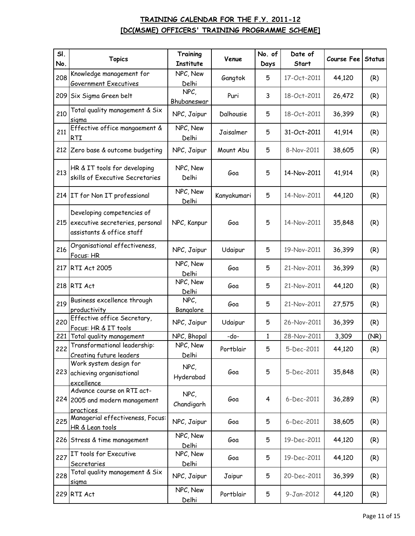| SI. | <b>Topics</b>                                                                              | Training                 | Venue       | No. of | Date of     | Course Fee | <b>Status</b> |
|-----|--------------------------------------------------------------------------------------------|--------------------------|-------------|--------|-------------|------------|---------------|
| No. |                                                                                            | Institute                |             | Days   | Start       |            |               |
| 208 | Knowledge management for<br><b>Government Executives</b>                                   | NPC, New<br>Delhi        | Gangtok     | 5      | 17-Oct-2011 | 44,120     | (R)           |
| 209 | Six Sigma Green belt                                                                       | $NPC$ ,<br>Bhubaneswar   | Puri        | 3      | 18-Oct-2011 | 26,472     | (R)           |
| 210 | Total quality management & Six<br>sigma                                                    | NPC, Jaipur              | Dalhousie   | 5      | 18-Oct-2011 | 36,399     | (R)           |
| 211 | Effective office mangaement &<br><b>RTI</b>                                                | NPC, New<br>Delhi        | Jaisalmer   | 5      | 31-Oct-2011 | 41,914     | (R)           |
|     | 212 Zero base & outcome budgeting                                                          | NPC, Jaipur              | Mount Abu   | 5      | 8-Nov-2011  | 38,605     | (R)           |
| 213 | HR & IT tools for developing<br>skills of Executive Secretaries                            | NPC, New<br>Delhi        | Goa         | 5      | 14-Nov-2011 | 41,914     | (R)           |
|     | 214 IT for Non IT professional                                                             | NPC, New<br>Delhi        | Kanyakumari | 5      | 14-Nov-2011 | 44,120     | (R)           |
| 215 | Developing competencies of<br>executive secreteries, personal<br>assistants & office staff | NPC, Kanpur              | Goa         | 5      | 14-Nov-2011 | 35,848     | (R)           |
| 216 | Organisational effectiveness,<br>Focus: HR                                                 | NPC, Jaipur              | Udaipur     | 5      | 19-Nov-2011 | 36,399     | (R)           |
| 217 | <b>RTI Act 2005</b>                                                                        | NPC, New<br>Delhi        | Goa         | 5      | 21-Nov-2011 | 36,399     | (R)           |
|     | 218 RTI Act                                                                                | NPC, New<br><u>Delhi</u> | Goa         | 5      | 21-Nov-2011 | 44,120     | (R)           |
| 219 | Business excellence through<br>productivity                                                | NPC,<br>Bangalore        | Goa         | 5      | 21-Nov-2011 | 27,575     | (R)           |
| 220 | Effective office Secretary,<br>Focus: HR & IT tools                                        | NPC, Jaipur              | Udaipur     | 5      | 26-Nov-2011 | 36,399     | (R)           |
| 221 | Total quality management                                                                   | NPC, Bhopal              | -do-        | 1      | 28-Nov-2011 | 3,309      | (NR)          |
| 222 | Transformational leadership:<br>Creating future leaders                                    | NPC, New<br>Delhi        | Portblair   | 5      | 5-Dec-2011  | 44,120     | (R)           |
| 223 | Work system design for<br>achieving organisational<br>excellence                           | NPC,<br>Hyderabad        | Goa         | 5      | 5-Dec-2011  | 35,848     | (R)           |
|     | Advance course on RTI act-<br>224 2005 and modern management<br>practices                  | $NPC$ ,<br>Chandigarh    | Goa         | 4      | 6-Dec-2011  | 36,289     | (R)           |
| 225 | Managerial effectiveness, Focus:<br>HR & Lean tools                                        | NPC, Jaipur              | Goa         | 5      | 6-Dec-2011  | 38,605     | (R)           |
|     | 226 Stress & time management                                                               | NPC, New<br>Delhi        | Goa         | 5      | 19-Dec-2011 | 44,120     | (R)           |
| 227 | IT tools for Executive<br>Secretaries                                                      | NPC, New<br><u>Delhi</u> | Goa         | 5      | 19-Dec-2011 | 44,120     | (R)           |
| 228 | Total quality management & Six<br><u>sigma</u>                                             | NPC, Jaipur              | Jaipur      | 5      | 20-Dec-2011 | 36,399     | (R)           |
|     | 229 RTI Act                                                                                | NPC, New<br>Delhi        | Portblair   | 5      | 9-Jan-2012  | 44,120     | (R)           |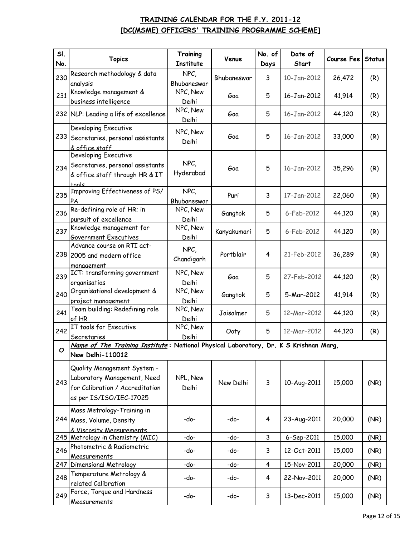| SI. | <b>Topics</b>                                                                        | Training          | Venue       | No. of | Date of     | Course Fee | <b>Status</b> |
|-----|--------------------------------------------------------------------------------------|-------------------|-------------|--------|-------------|------------|---------------|
| No. |                                                                                      | <b>Institute</b>  |             | Days   | Start       |            |               |
| 230 | Research methodology & data                                                          | $NPC$ ,           | Bhubaneswar | 3      | 10-Jan-2012 | 26,472     | (R)           |
|     | analysis                                                                             | Bhubaneswar       |             |        |             |            |               |
| 231 | Knowledge management &                                                               | NPC, New          | Goa         | 5      | 16-Jan-2012 | 41,914     | (R)           |
|     | business intelligence                                                                | Delhi<br>NPC, New |             |        |             |            |               |
|     | 232 NLP: Leading a life of excellence                                                | Delhi             | Goa         | 5      | 16-Jan-2012 | 44,120     | (R)           |
|     | Developing Executive                                                                 | NPC, New          |             |        |             |            |               |
|     | 233 Secretaries, personal assistants                                                 | Delhi             | Goa         | 5      | 16-Jan-2012 | 33,000     | (R)           |
|     | <u>&amp; office staff</u>                                                            |                   |             |        |             |            |               |
|     | Developing Executive                                                                 | NPC,              |             |        |             |            |               |
| 234 | Secretaries, personal assistants                                                     | Hyderabad         | Goa         | 5      | 16-Jan-2012 | 35,296     | (R)           |
|     | & office staff through HR & IT                                                       |                   |             |        |             |            |               |
|     | tools<br>Improving Effectiveness of PS/                                              | $NPC$ ,           |             |        |             |            |               |
| 235 | PA                                                                                   | Bhubaneswar       | Puri        | 3      | 17-Jan-2012 | 22,060     | (R)           |
| 236 | Re-defining role of HR; in                                                           | NPC, New          |             |        |             |            |               |
|     | pursuit of excellence                                                                | Delhi             | Gangtok     | 5      | 6-Feb-2012  | 44,120     | (R)           |
| 237 | Knowledge management for                                                             | NPC, New          | Kanyakumari | 5      | 6-Feb-2012  | 44,120     | (R)           |
|     | <b>Government Executives</b>                                                         | Delhi             |             |        |             |            |               |
|     | Advance course on RTI act-                                                           | NPC,              |             |        |             |            |               |
|     | 238 2005 and modern office                                                           | Chandigarh        | Portblair   | 4      | 21-Feb-2012 | 36,289     | (R)           |
|     | manaaement                                                                           |                   |             |        |             |            |               |
| 239 | ICT: transforming government                                                         | NPC, New          | Goa         | 5      | 27-Feb-2012 | 44,120     | (R)           |
|     | organisatios                                                                         | Delhi             |             |        |             |            |               |
| 240 | Organisational development &                                                         | NPC, New          | Gangtok     | 5      | 5-Mar-2012  | 41,914     | (R)           |
|     | project management                                                                   | Delhi             |             |        |             |            |               |
| 241 | Team building: Redefining role                                                       | NPC, New          | Jaisalmer   | 5      | 12-Mar-2012 | 44,120     | (R)           |
|     | of HR<br>IT tools for Executive                                                      | Delhi<br>NPC, New |             |        |             |            |               |
| 242 | Secretaries                                                                          | Delhi             | Ooty        | 5      | 12-Mar-2012 | 44,120     | (R)           |
|     | Name of The Training Institute: National Physical Laboratory, Dr. K S Krishnan Marg, |                   |             |        |             |            |               |
| O   | New Delhi-110012                                                                     |                   |             |        |             |            |               |
|     | Quality Management System -                                                          |                   |             |        |             |            |               |
|     | Laboratory Management, Need                                                          | NPL, New          |             |        |             |            |               |
| 243 | for Calibration / Accreditation                                                      | Delhi             | New Delhi   | 3      | 10-Aug-2011 | 15,000     | (NR)          |
|     | as per IS/ISO/IEC-17025                                                              |                   |             |        |             |            |               |
|     |                                                                                      |                   |             |        |             |            |               |
|     | Mass Metrology-Training in                                                           |                   |             |        |             |            |               |
|     | 244 Mass, Volume, Density                                                            | -do-              | -do-        | 4      | 23-Aug-2011 | 20,000     | (NR)          |
|     | & Viscosity Measurements<br>245 Metrology in Chemistry (MIC)                         | -do-              | -do-        | 3      | 6-Sep-2011  | 15,000     | (NR)          |
|     | Photometric & Radiometric                                                            |                   |             |        |             |            |               |
| 246 | Measurements                                                                         | -do-              | -do-        | 3      | 12-Oct-2011 | 15,000     | (NR)          |
| 247 | Dimensional Metrology                                                                | -do-              | -do-        | 4      | 15-Nov-2011 | 20,000     | (NR)          |
| 248 | Temperature Metrology &                                                              |                   |             |        |             |            |               |
|     | related Calibration                                                                  | -do-              | -do-        | 4      | 22-Nov-2011 | 20,000     | (NR)          |
| 249 | Force, Torque and Hardness                                                           | -do-              | -do-        | 3      | 13-Dec-2011 | 15,000     | (NR)          |
|     | Measurements                                                                         |                   |             |        |             |            |               |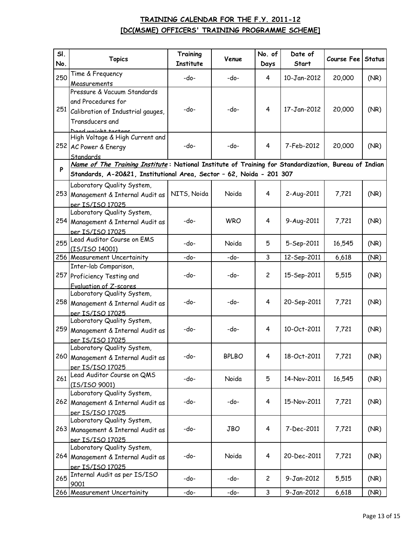| SI. | <b>Topics</b>                                                                                                                                                                     | Training    | Venue        | No. of         | Date of     | Course Fee | <b>Status</b> |
|-----|-----------------------------------------------------------------------------------------------------------------------------------------------------------------------------------|-------------|--------------|----------------|-------------|------------|---------------|
| No. |                                                                                                                                                                                   | Institute   |              | Days           | Start       |            |               |
| 250 | Time & Frequency                                                                                                                                                                  | -do-        | -do-         | 4              | 10-Jan-2012 | 20,000     | (NR)          |
|     | Measurements                                                                                                                                                                      |             |              |                |             |            |               |
|     | Pressure & Vacuum Standards                                                                                                                                                       |             |              |                |             |            |               |
| 251 | and Procedures for                                                                                                                                                                |             |              |                |             |            |               |
|     | Calibration of Industrial gauges,                                                                                                                                                 | -do-        | -do-         | $\overline{4}$ | 17-Jan-2012 | 20,000     | (NR)          |
|     | Transducers and                                                                                                                                                                   |             |              |                |             |            |               |
|     | Dead weight tectors<br>High Voltage & High Current and                                                                                                                            |             |              |                |             |            |               |
|     | 252 AC Power & Energy                                                                                                                                                             | -do-        | -do-         | 4              | 7-Feb-2012  | 20,000     | (NR)          |
|     | Standards                                                                                                                                                                         |             |              |                |             |            |               |
|     |                                                                                                                                                                                   |             |              |                |             |            |               |
|     | Name of The Training Institute: National Institute of Training for Standardization, Bureau of Indian<br>P<br>Standards, A-20&21, Institutional Area, Sector - 62, Noida - 201 307 |             |              |                |             |            |               |
|     | Laboratory Quality System,                                                                                                                                                        |             |              |                |             |            |               |
|     | 253 Management & Internal Audit as                                                                                                                                                | NITS, Noida | Noida        | 4              | 2-Aug-2011  | 7,721      | (NR)          |
|     | per IS/ISO 17025                                                                                                                                                                  |             |              |                |             |            |               |
|     | Laboratory Quality System,                                                                                                                                                        |             |              |                |             |            |               |
|     | 254 Management & Internal Audit as                                                                                                                                                | -do-        | <b>WRO</b>   | 4              | 9-Aug-2011  | 7,721      | (NR)          |
|     | per IS/ISO 17025                                                                                                                                                                  |             |              |                |             |            |               |
| 255 | Lead Auditor Course on EMS                                                                                                                                                        |             | Noida        |                |             |            |               |
|     | (IS/ISO 14001)                                                                                                                                                                    | -do-        |              | 5              | 5-Sep-2011  | 16,545     | (NR)          |
|     | 256 Measurement Uncertainity                                                                                                                                                      | -do-        | -do-         | 3              | 12-Sep-2011 | 6,618      | (NR)          |
|     | Inter-lab Comparison,                                                                                                                                                             |             |              |                |             |            |               |
|     | 257 Proficiency Testing and                                                                                                                                                       | -do-        | -do-         | $\overline{c}$ | 15-Sep-2011 | 5,515      | (NR)          |
|     | <b>Evaluation of Z-scores</b>                                                                                                                                                     |             |              |                |             |            |               |
|     | Laboratory Quality System,                                                                                                                                                        |             |              |                |             |            |               |
|     | 258 Management & Internal Audit as                                                                                                                                                | -do-        | -do-         | 4              | 20-Sep-2011 | 7,721      | (NR)          |
|     | per IS/ISO 17025                                                                                                                                                                  |             |              |                |             |            |               |
|     | Laboratory Quality System,                                                                                                                                                        | -do-        | -do-         | 4              | 10-Oct-2011 | 7,721      | (NR)          |
|     | 259 Management & Internal Audit as                                                                                                                                                |             |              |                |             |            |               |
|     | per IS/ISO 17025<br>Laboratory Quality System,                                                                                                                                    |             |              |                |             |            |               |
|     | 260 Management & Internal Audit as                                                                                                                                                | -do-        | <b>BPLBO</b> | 4              | 18-Oct-2011 | 7,721      | (NR)          |
|     | per IS/ISO 17025                                                                                                                                                                  |             |              |                |             |            |               |
|     | Lead Auditor Course on QMS                                                                                                                                                        |             |              |                |             |            |               |
| 261 | (IS/ISO 9001)                                                                                                                                                                     | -do-        | Noida        | 5              | 14-Nov-2011 | 16,545     | (NR)          |
|     | Laboratory Quality System,                                                                                                                                                        |             |              |                |             |            |               |
|     | 262 Management & Internal Audit as                                                                                                                                                | -do-        | -do-         | $\overline{4}$ | 15-Nov-2011 | 7,721      | (NR)          |
|     | per IS/ISO 17025                                                                                                                                                                  |             |              |                |             |            |               |
|     | Laboratory Quality System,                                                                                                                                                        |             |              |                |             |            |               |
|     | 263 Management & Internal Audit as                                                                                                                                                | -do-        | <b>JBO</b>   | 4              | 7-Dec-2011  | 7,721      | (NR)          |
|     | per IS/ISO 17025                                                                                                                                                                  |             |              |                |             |            |               |
|     | Laboratory Quality System,                                                                                                                                                        |             |              |                |             |            |               |
|     | 264 Management & Internal Audit as                                                                                                                                                | -do-        | Noida        | 4              | 20-Dec-2011 | 7,721      | (NR)          |
|     | per IS/ISO 17025                                                                                                                                                                  |             |              |                |             |            |               |
| 265 | Internal Audit as per IS/ISO                                                                                                                                                      | -do-        | -do-         | $\mathbf{2}$   | 9-Jan-2012  | 5,515      | (NR)          |
|     | 9001<br>266 Measurement Uncertainity                                                                                                                                              | -do-        | -do-         | 3              | 9-Jan-2012  |            |               |
|     |                                                                                                                                                                                   |             |              |                |             | 6,618      | (NR)          |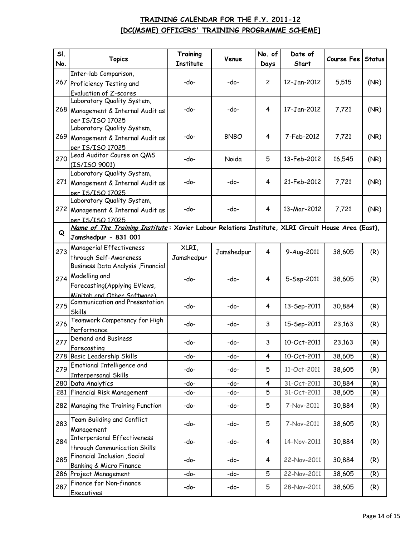| SI. | <b>Topics</b>                                                                                      | Training   | Venue       | No. of         | Date of     | Course Fee | <b>Status</b> |  |
|-----|----------------------------------------------------------------------------------------------------|------------|-------------|----------------|-------------|------------|---------------|--|
| No. |                                                                                                    | Institute  |             | Days           | Start       |            |               |  |
|     | Inter-lab Comparison,                                                                              |            |             |                |             |            |               |  |
|     | 267 Proficiency Testing and                                                                        | -do-       | -do-        | $\overline{c}$ | 12-Jan-2012 | 5,515      | (NR)          |  |
|     | Evaluation of Z-scores                                                                             |            |             |                |             |            |               |  |
|     | Laboratory Quality System,                                                                         |            |             |                |             |            |               |  |
|     | 268 Management & Internal Audit as                                                                 | -do-       | -do-        | 4              | 17-Jan-2012 | 7,721      | (NR)          |  |
|     | per IS/ISO 17025                                                                                   |            |             |                |             |            |               |  |
|     | Laboratory Quality System,                                                                         | -do-       | <b>BNBO</b> | 4              | 7-Feb-2012  | 7,721      | (NR)          |  |
|     | 269 Management & Internal Audit as                                                                 |            |             |                |             |            |               |  |
|     | per IS/ISO 17025                                                                                   |            |             |                |             |            |               |  |
| 270 | Lead Auditor Course on QMS                                                                         | -do-       | Noida       | 5              | 13-Feb-2012 | 16,545     | (NR)          |  |
|     | (IS/ISO 9001)                                                                                      |            |             |                |             |            |               |  |
|     | Laboratory Quality System,                                                                         | -do-       | -do-        | 4              | 21-Feb-2012 | 7,721      | (NR)          |  |
| 271 | Management & Internal Audit as                                                                     |            |             |                |             |            |               |  |
|     | per IS/ISO 17025                                                                                   |            |             |                |             |            |               |  |
|     | Laboratory Quality System,                                                                         |            |             |                |             |            |               |  |
| 272 | Management & Internal Audit as                                                                     | -do-       | -do-        | 4              | 13-Mar-2012 | 7,721      | (NR)          |  |
|     | per IS/ISO 17025                                                                                   |            |             |                |             |            |               |  |
|     | Name of The Training Institute: Xavier Labour Relations Institute, XLRI Circuit House Area (East), |            |             |                |             |            |               |  |
| Q   | Jamshedpur - 831 001                                                                               |            |             |                |             |            |               |  |
|     | Managerial Effectiveness                                                                           | XLRI,      |             |                |             |            |               |  |
| 273 | through Self-Awareness                                                                             | Jamshedpur | Jamshedpur  | 4              | 9-Aug-2011  | 38,605     | (R)           |  |
|     | Business Data Analysis, Financial                                                                  |            |             |                |             |            |               |  |
| 274 | Modelling and                                                                                      | -do-       | -do-        | 4              | 5-Sep-2011  | 38,605     | (R)           |  |
|     | Forecasting(Applying EViews,                                                                       |            |             |                |             |            |               |  |
|     |                                                                                                    |            |             |                |             |            |               |  |
|     | Minitah and Other Software)<br>Communication and Presentation                                      |            |             |                |             |            |               |  |
| 275 | Skills                                                                                             | -do-       | -do-        | 4              | 13-Sep-2011 | 30,884     | (R)           |  |
|     | Teamwork Competency for High                                                                       |            |             |                |             |            |               |  |
| 276 | Performance                                                                                        | -do-       | -do-        | 3              | 15-Sep-2011 | 23,163     | (R)           |  |
|     | Demand and Business                                                                                |            |             |                |             |            |               |  |
| 277 | Forecasting                                                                                        | -do-       | -do-        | 3              | 10-Oct-2011 | 23,163     | (R)           |  |
|     | 278 Basic Leadership Skills                                                                        | -do-       | -do-        | 4              | 10-Oct-2011 | 38,605     | (R)           |  |
|     | Emotional Intelligence and                                                                         |            |             |                |             |            |               |  |
| 279 | <b>Interpersonal Skills</b>                                                                        | -do-       | -do-        | 5              | 11-Oct-2011 | 38,605     | (R)           |  |
| 280 | Data Analytics                                                                                     | -do-       | -do-        | 4              | 31-Oct-2011 | 30,884     | (R)           |  |
| 281 | <b>Financial Risk Management</b>                                                                   | -do-       | -do-        | 5              | 31-Oct-2011 | 38,605     | (R)           |  |
|     |                                                                                                    |            |             |                |             |            |               |  |
|     | 282 Managing the Training Function                                                                 | -do-       | -do-        | 5              | 7-Nov-2011  | 30,884     | (R)           |  |
|     | Team Building and Conflict                                                                         |            |             |                |             |            |               |  |
| 283 |                                                                                                    | -do-       | -do-        | 5              | 7-Nov-2011  | 38,605     | (R)           |  |
|     | Management                                                                                         | -do-       | -do-        | 4              | 14-Nov-2011 | 30,884     | (R)           |  |
| 284 | <b>Interpersonal Effectiveness</b>                                                                 |            |             |                |             |            |               |  |
|     | through Communication Skills                                                                       |            |             |                |             |            |               |  |
| 285 | <b>Financial Inclusion</b> , Social                                                                | -do-       | -do-        | 4              | 22-Nov-2011 | 30,884     | (R)           |  |
|     | Banking & Micro Finance                                                                            |            |             |                |             |            |               |  |
|     | 286 Project Management                                                                             | -do-       | -do-        | 5              | 22-Nov-2011 | 38,605     | (R)           |  |
| 287 | Finance for Non-finance                                                                            | -do-       | -do-        | 5              | 28-Nov-2011 | 38,605     | (R)           |  |
|     | <b>Executives</b>                                                                                  |            |             |                |             |            |               |  |